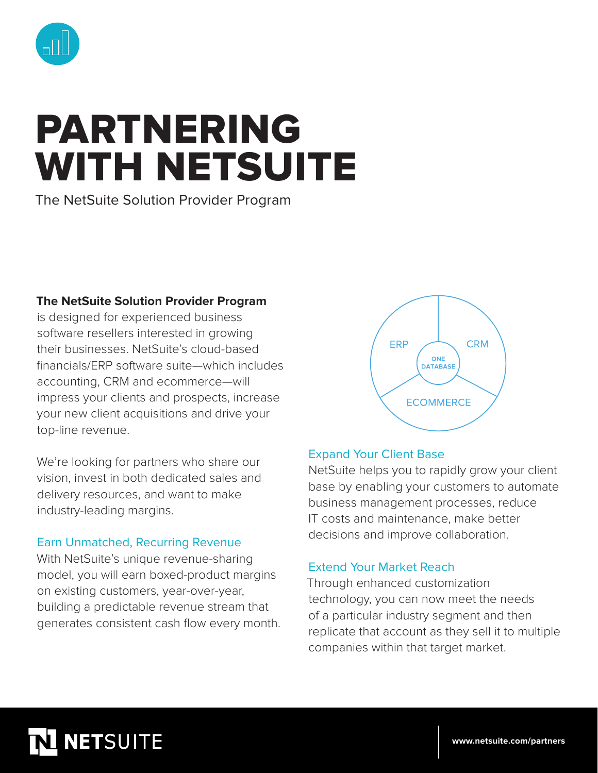

# PARTNERING WITH NETSUITE

The NetSuite Solution Provider Program

## **The NetSuite Solution Provider Program**

is designed for experienced business software resellers interested in growing their businesses. NetSuite's cloud-based financials/ERP software suite—which includes accounting, CRM and ecommerce—will impress your clients and prospects, increase your new client acquisitions and drive your top-line revenue.

We're looking for partners who share our vision, invest in both dedicated sales and delivery resources, and want to make industry-leading margins.

## Earn Unmatched, Recurring Revenue

With NetSuite's unique revenue-sharing model, you will earn boxed-product margins on existing customers, year-over-year, building a predictable revenue stream that generates consistent cash flow every month.



### Expand Your Client Base

NetSuite helps you to rapidly grow your client base by enabling your customers to automate business management processes, reduce IT costs and maintenance, make better decisions and improve collaboration.

### Extend Your Market Reach

Through enhanced customization technology, you can now meet the needs of a particular industry segment and then replicate that account as they sell it to multiple companies within that target market.

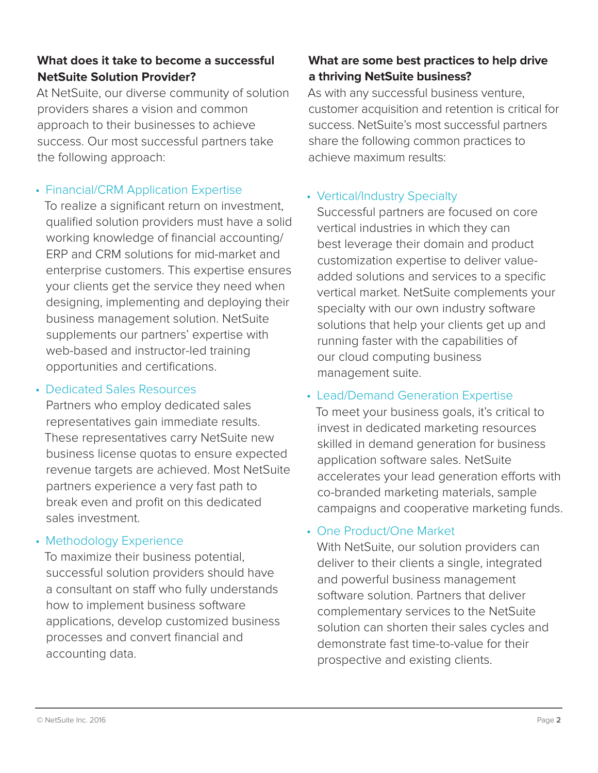## **What does it take to become a successful NetSuite Solution Provider?**

At NetSuite, our diverse community of solution providers shares a vision and common approach to their businesses to achieve success. Our most successful partners take the following approach:

## • Financial/CRM Application Expertise

To realize a significant return on investment, qualified solution providers must have a solid working knowledge of financial accounting/ ERP and CRM solutions for mid-market and enterprise customers. This expertise ensures your clients get the service they need when designing, implementing and deploying their business management solution. NetSuite supplements our partners' expertise with web-based and instructor-led training opportunities and certifications.

### • Dedicated Sales Resources

Partners who employ dedicated sales representatives gain immediate results. These representatives carry NetSuite new business license quotas to ensure expected revenue targets are achieved. Most NetSuite partners experience a very fast path to break even and profit on this dedicated sales investment.

### • Methodology Experience

To maximize their business potential, successful solution providers should have a consultant on staff who fully understands how to implement business software applications, develop customized business processes and convert financial and accounting data.

## **What are some best practices to help drive a thriving NetSuite business?**

As with any successful business venture, customer acquisition and retention is critical for success. NetSuite's most successful partners share the following common practices to achieve maximum results:

## • Vertical/Industry Specialty

Successful partners are focused on core vertical industries in which they can best leverage their domain and product customization expertise to deliver valueadded solutions and services to a specific vertical market. NetSuite complements your specialty with our own industry software solutions that help your clients get up and running faster with the capabilities of our cloud computing business management suite.

## • Lead/Demand Generation Expertise

To meet your business goals, it's critical to invest in dedicated marketing resources skilled in demand generation for business application software sales. NetSuite accelerates your lead generation efforts with co-branded marketing materials, sample campaigns and cooperative marketing funds.

## • One Product/One Market

With NetSuite, our solution providers can deliver to their clients a single, integrated and powerful business management software solution. Partners that deliver complementary services to the NetSuite solution can shorten their sales cycles and demonstrate fast time-to-value for their prospective and existing clients.